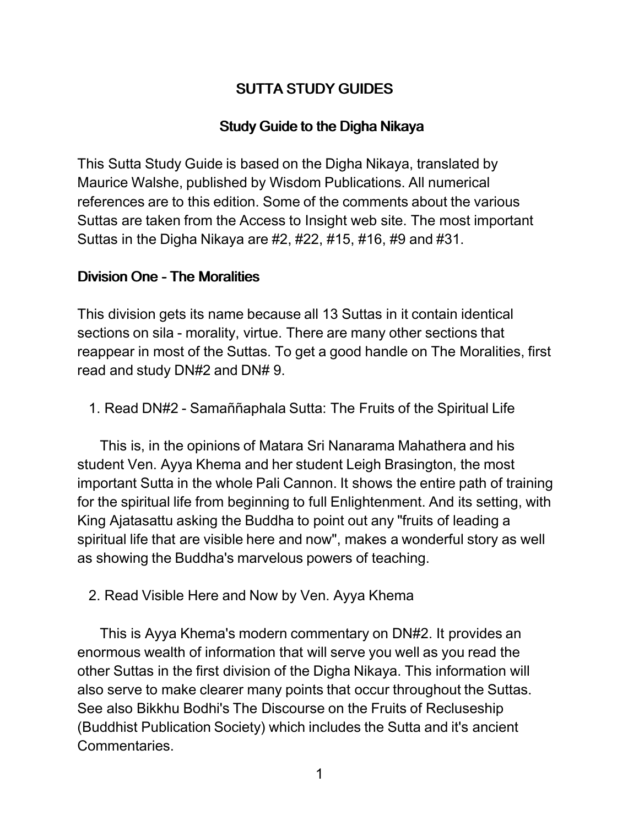# SUTTA STUDY GUIDES

## Study Guide to the Digha Nikaya

This Sutta Study Guide is based on the Digha Nikaya, translated by Maurice Walshe, published by Wisdom Publications. All numerical references are to this edition. Some of the comments about the various Suttas are taken from the Access to Insight web site. The most important Suttas in the Digha Nikaya are #2, #22, #15, #16, #9 and #31.

### Division One - The Moralities

This division gets its name because all 13 Suttas in it contain identical sections on sila - morality, virtue. There are many other sections that reappear in most of the Suttas. To get a good handle on The Moralities, first read and study DN#2 and DN# 9.

1. Read DN#2 - Samaññaphala Sutta: The Fruits of the Spiritual Life

This is, in the opinions of Matara Sri Nanarama Mahathera and his student Ven. Ayya Khema and her student Leigh Brasington, the most important Sutta in the whole Pali Cannon. It shows the entire path of training for the spiritual life from beginning to full Enlightenment. And its setting, with King Ajatasattu asking the Buddha to point out any "fruits of leading a spiritual life that are visible here and now", makes a wonderful story as well as showing the Buddha's marvelous powers of teaching.

## 2. Read Visible Here and Now by Ven. Ayya Khema

This is Ayya Khema's modern commentary on DN#2. It provides an enormous wealth of information that will serve you well as you read the other Suttas in the first division of the Digha Nikaya. This information will also serve to make clearer many points that occur throughout the Suttas. See also Bikkhu Bodhi's The Discourse on the Fruits of Recluseship (Buddhist Publication Society) which includes the Sutta and it's ancient Commentaries.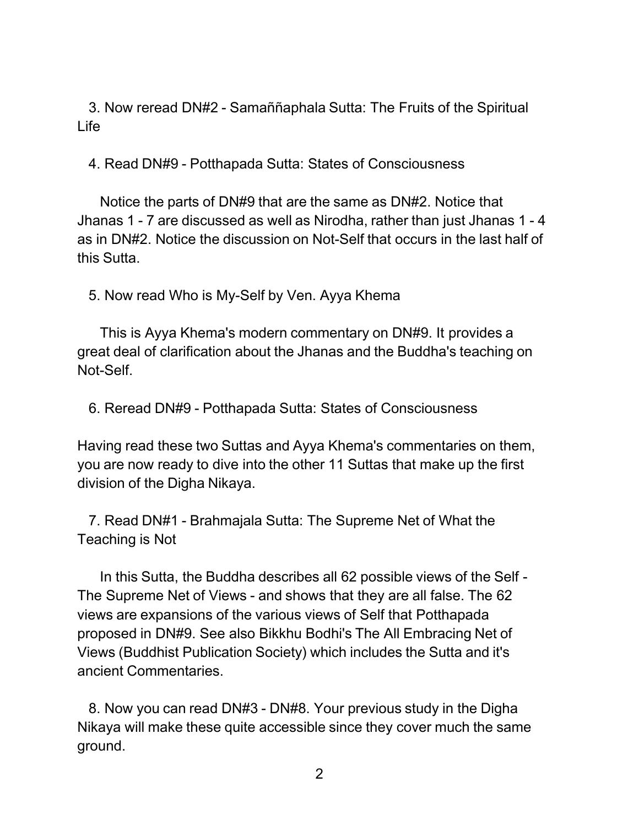3. Now reread DN#2 - Samaññaphala Sutta: The Fruits of the Spiritual Life

4. Read DN#9 - Potthapada Sutta: States of Consciousness

Notice the parts of DN#9 that are the same as DN#2. Notice that Jhanas 1 - 7 are discussed as well as Nirodha, rather than just Jhanas 1 - 4 as in DN#2. Notice the discussion on Not-Self that occurs in the last half of this Sutta.

5. Now read Who is My-Self by Ven. Ayya Khema

This is Ayya Khema's modern commentary on DN#9. It provides a great deal of clarification about the Jhanas and the Buddha's teaching on Not-Self.

6. Reread DN#9 - Potthapada Sutta: States of Consciousness

Having read these two Suttas and Ayya Khema's commentaries on them, you are now ready to dive into the other 11 Suttas that make up the first division of the Digha Nikaya.

7. Read DN#1 - Brahmajala Sutta: The Supreme Net of What the Teaching is Not

In this Sutta, the Buddha describes all 62 possible views of the Self - The Supreme Net of Views - and shows that they are all false. The 62 views are expansions of the various views of Self that Potthapada proposed in DN#9. See also Bikkhu Bodhi's The All Embracing Net of Views (Buddhist Publication Society) which includes the Sutta and it's ancient Commentaries.

8. Now you can read DN#3 - DN#8. Your previous study in the Digha Nikaya will make these quite accessible since they cover much the same ground.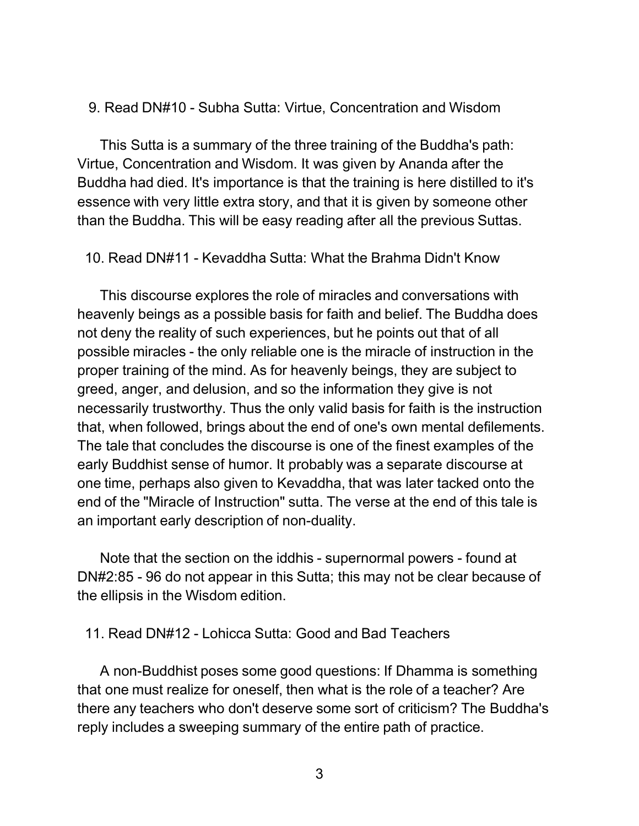#### 9. Read DN#10 - Subha Sutta: Virtue, Concentration and Wisdom

This Sutta is a summary of the three training of the Buddha's path: Virtue, Concentration and Wisdom. It was given by Ananda after the Buddha had died. It's importance is that the training is here distilled to it's essence with very little extra story, and that it is given by someone other than the Buddha. This will be easy reading after all the previous Suttas.

10. Read DN#11 - Kevaddha Sutta: What the Brahma Didn't Know

This discourse explores the role of miracles and conversations with heavenly beings as a possible basis for faith and belief. The Buddha does not deny the reality of such experiences, but he points out that of all possible miracles - the only reliable one is the miracle of instruction in the proper training of the mind. As for heavenly beings, they are subject to greed, anger, and delusion, and so the information they give is not necessarily trustworthy. Thus the only valid basis for faith is the instruction that, when followed, brings about the end of one's own mental defilements. The tale that concludes the discourse is one of the finest examples of the early Buddhist sense of humor. It probably was a separate discourse at one time, perhaps also given to Kevaddha, that was later tacked onto the end of the "Miracle of Instruction" sutta. The verse at the end of this tale is an important early description of non-duality.

Note that the section on the iddhis - supernormal powers - found at DN#2:85 - 96 do not appear in this Sutta; this may not be clear because of the ellipsis in the Wisdom edition.

11. Read DN#12 - Lohicca Sutta: Good and Bad Teachers

A non-Buddhist poses some good questions: If Dhamma is something that one must realize for oneself, then what is the role of a teacher? Are there any teachers who don't deserve some sort of criticism? The Buddha's reply includes a sweeping summary of the entire path of practice.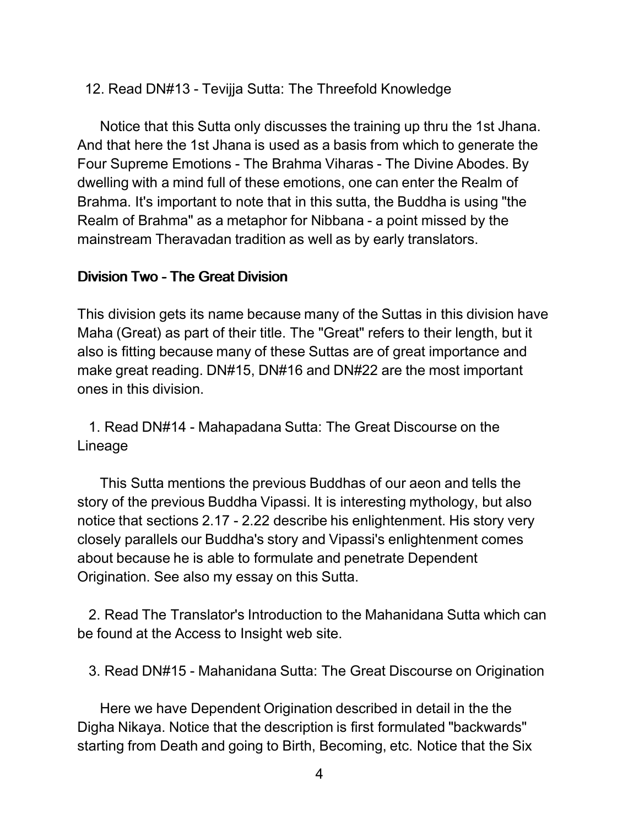## 12. Read DN#13 - Tevijja Sutta: The Threefold Knowledge

Notice that this Sutta only discusses the training up thru the 1st Jhana. And that here the 1st Jhana is used as a basis from which to generate the Four Supreme Emotions - The Brahma Viharas - The Divine Abodes. By dwelling with a mind full of these emotions, one can enter the Realm of Brahma. It's important to note that in this sutta, the Buddha is using "the Realm of Brahma" as a metaphor for Nibbana - a point missed by the mainstream Theravadan tradition as well as by early translators.

#### Division Two - The Great Division

This division gets its name because many of the Suttas in this division have Maha (Great) as part of their title. The "Great" refers to their length, but it also is fitting because many of these Suttas are of great importance and make great reading. DN#15, DN#16 and DN#22 are the most important ones in this division.

1. Read DN#14 - Mahapadana Sutta: The Great Discourse on the Lineage

This Sutta mentions the previous Buddhas of our aeon and tells the story of the previous Buddha Vipassi. It is interesting mythology, but also notice that sections 2.17 - 2.22 describe his enlightenment. His story very closely parallels our Buddha's story and Vipassi's enlightenment comes about because he is able to formulate and penetrate Dependent Origination. See also my essay on this Sutta.

2. Read The Translator's Introduction to the Mahanidana Sutta which can be found at the Access to Insight web site.

3. Read DN#15 - Mahanidana Sutta: The Great Discourse on Origination

Here we have Dependent Origination described in detail in the the Digha Nikaya. Notice that the description is first formulated "backwards" starting from Death and going to Birth, Becoming, etc. Notice that the Six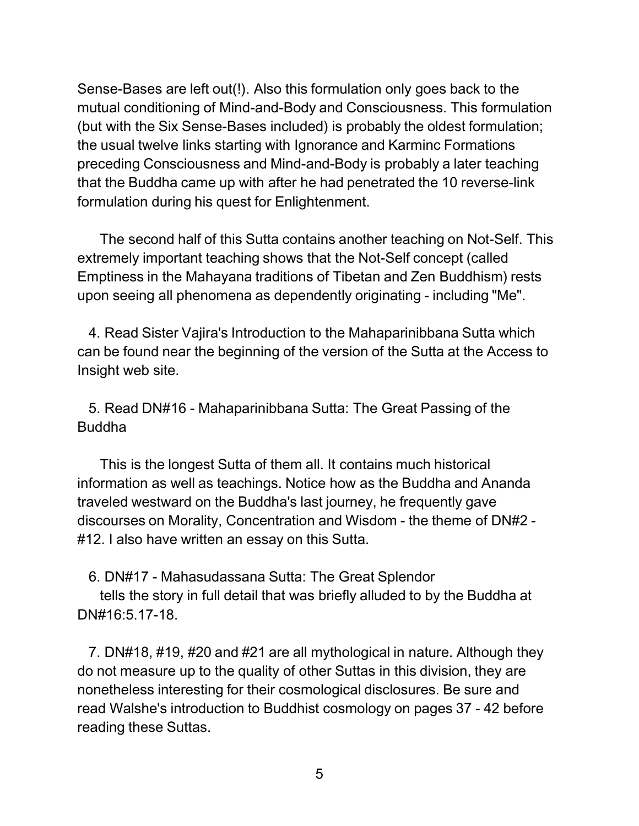Sense-Bases are left out(!). Also this formulation only goes back to the mutual conditioning of Mind-and-Body and Consciousness. This formulation (but with the Six Sense-Bases included) is probably the oldest formulation; the usual twelve links starting with Ignorance and Karminc Formations preceding Consciousness and Mind-and-Body is probably a later teaching that the Buddha came up with after he had penetrated the 10 reverse-link formulation during his quest for Enlightenment.

The second half of this Sutta contains another teaching on Not-Self. This extremely important teaching shows that the Not-Self concept (called Emptiness in the Mahayana traditions of Tibetan and Zen Buddhism) rests upon seeing all phenomena as dependently originating - including "Me".

4. Read Sister Vajira's Introduction to the Mahaparinibbana Sutta which can be found near the beginning of the version of the Sutta at the Access to Insight web site.

5. Read DN#16 - Mahaparinibbana Sutta: The Great Passing of the Buddha

This is the longest Sutta of them all. It contains much historical information as well as teachings. Notice how as the Buddha and Ananda traveled westward on the Buddha's last journey, he frequently gave discourses on Morality, Concentration and Wisdom - the theme of DN#2 - #12. I also have written an essay on this Sutta.

6. DN#17 - Mahasudassana Sutta: The Great Splendor

tells the story in full detail that was briefly alluded to by the Buddha at DN#16:5.17-18.

7. DN#18, #19, #20 and #21 are all mythological in nature. Although they do not measure up to the quality of other Suttas in this division, they are nonetheless interesting for their cosmological disclosures. Be sure and read Walshe's introduction to Buddhist cosmology on pages 37 - 42 before reading these Suttas.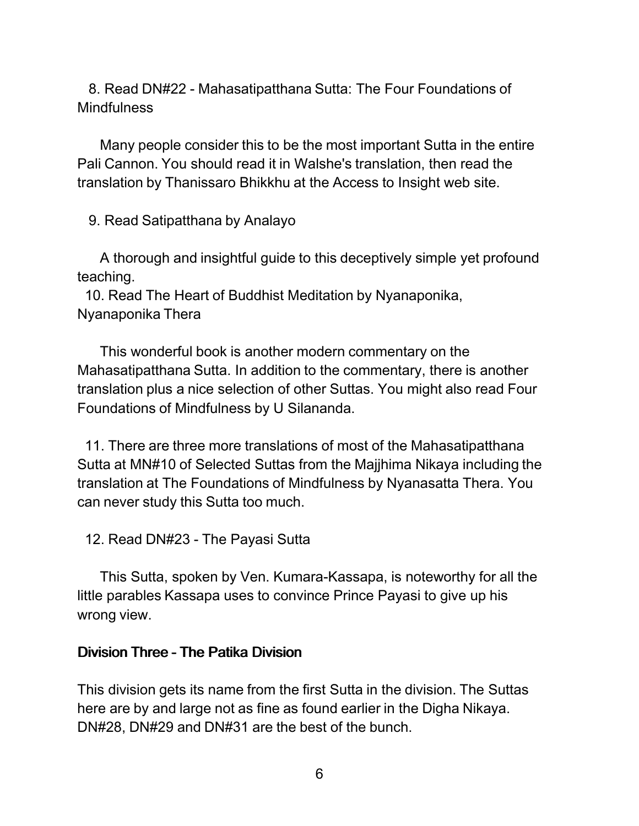8. Read DN#22 - Mahasatipatthana Sutta: The Four Foundations of **Mindfulness** 

Many people consider this to be the most important Sutta in the entire Pali Cannon. You should read it in Walshe's translation, then read the translation by Thanissaro Bhikkhu at the Access to Insight web site.

9. Read Satipatthana by Analayo

A thorough and insightful guide to this deceptively simple yet profound teaching.

10. Read The Heart of Buddhist Meditation by Nyanaponika, Nyanaponika Thera

This wonderful book is another modern commentary on the Mahasatipatthana Sutta. In addition to the commentary, there is another translation plus a nice selection of other Suttas. You might also read Four Foundations of Mindfulness by U Silananda.

11. There are three more translations of most of the Mahasatipatthana Sutta at MN#10 of Selected Suttas from the Majjhima Nikaya including the translation at The Foundations of Mindfulness by Nyanasatta Thera. You can never study this Sutta too much.

12. Read DN#23 - The Payasi Sutta

This Sutta, spoken by Ven. Kumara-Kassapa, is noteworthy for all the little parables Kassapa uses to convince Prince Payasi to give up his wrong view.

#### Division Three - The Patika Division

This division gets its name from the first Sutta in the division. The Suttas here are by and large not as fine as found earlier in the Digha Nikaya. DN#28, DN#29 and DN#31 are the best of the bunch.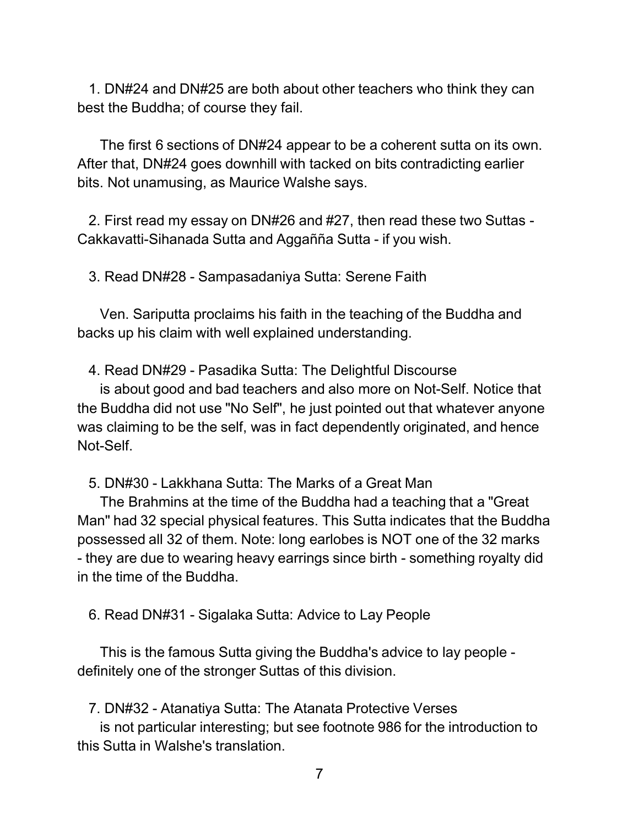1. DN#24 and DN#25 are both about other teachers who think they can best the Buddha; of course they fail.

The first 6 sections of DN#24 appear to be a coherent sutta on its own. After that, DN#24 goes downhill with tacked on bits contradicting earlier bits. Not unamusing, as Maurice Walshe says.

2. First read my essay on DN#26 and #27, then read these two Suttas - Cakkavatti-Sihanada Sutta and Aggañña Sutta - if you wish.

3. Read DN#28 - Sampasadaniya Sutta: Serene Faith

Ven. Sariputta proclaims his faith in the teaching of the Buddha and backs up his claim with well explained understanding.

4. Read DN#29 - Pasadika Sutta: The Delightful Discourse

is about good and bad teachers and also more on Not-Self. Notice that the Buddha did not use "No Self", he just pointed out that whatever anyone was claiming to be the self, was in fact dependently originated, and hence Not-Self.

5. DN#30 - Lakkhana Sutta: The Marks of a Great Man

The Brahmins at the time of the Buddha had a teaching that a "Great Man" had 32 special physical features. This Sutta indicates that the Buddha possessed all 32 of them. Note: long earlobes is NOT one of the 32 marks - they are due to wearing heavy earrings since birth - something royalty did in the time of the Buddha.

6. Read DN#31 - Sigalaka Sutta: Advice to Lay People

This is the famous Sutta giving the Buddha's advice to lay people definitely one of the stronger Suttas of this division.

7. DN#32 - Atanatiya Sutta: The Atanata Protective Verses

is not particular interesting; but see footnote 986 for the introduction to this Sutta in Walshe's translation.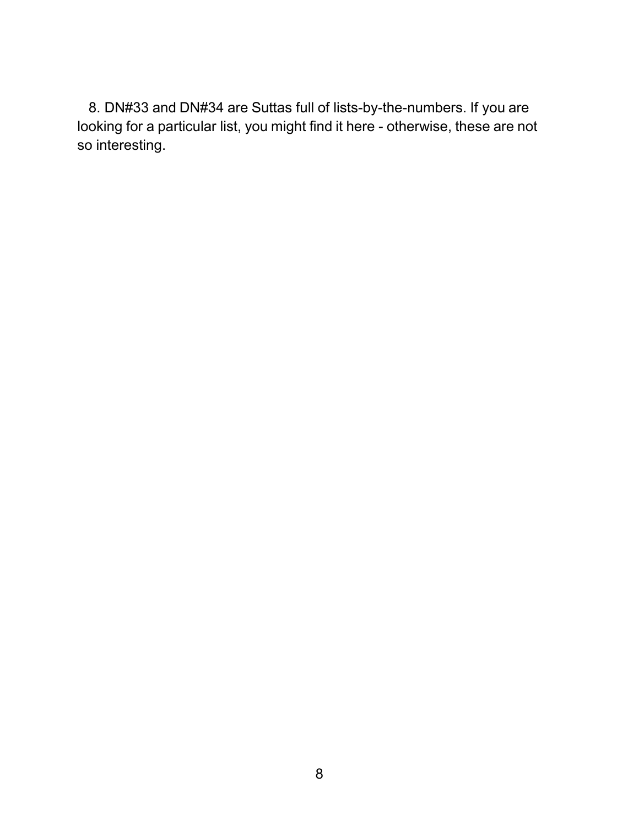8. DN#33 and DN#34 are Suttas full of lists-by-the-numbers. If you are looking for a particular list, you might find it here - otherwise, these are not so interesting.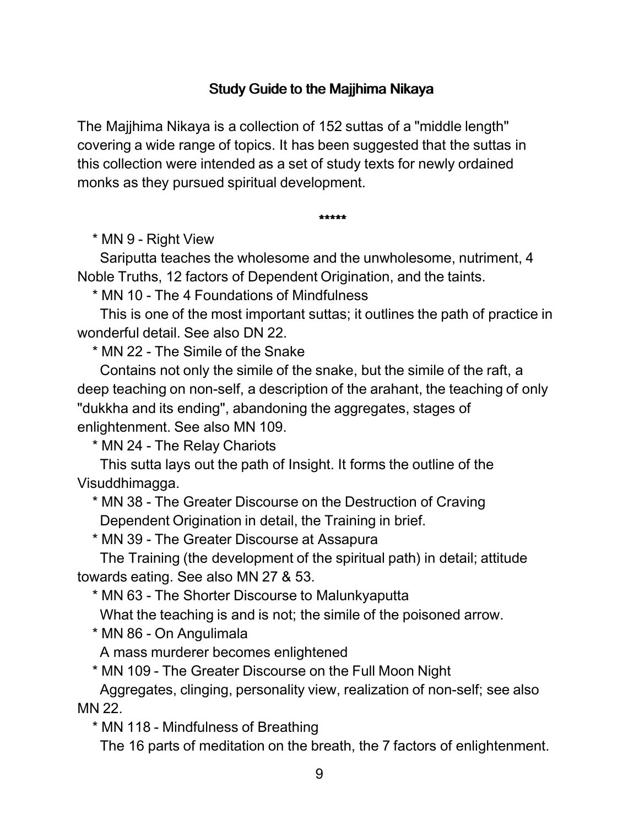## Study Guide to the Majjhima Nikaya

The Majjhima Nikaya is a collection of 152 suttas of a "middle length" covering a wide range of topics. It has been suggested that the suttas in this collection were intended as a set of study texts for newly ordained monks as they pursued spiritual development.

\*\*\*\*\*

\* MN 9 - Right View

Sariputta teaches the wholesome and the unwholesome, nutriment, 4 Noble Truths, 12 factors of Dependent Origination, and the taints.

\* MN 10 - The 4 Foundations of Mindfulness

This is one of the most important suttas; it outlines the path of practice in wonderful detail. See also DN 22.

\* MN 22 - The Simile of the Snake

Contains not only the simile of the snake, but the simile of the raft, a deep teaching on non-self, a description of the arahant, the teaching of only "dukkha and its ending", abandoning the aggregates, stages of enlightenment. See also MN 109.

\* MN 24 - The Relay Chariots

This sutta lays out the path of Insight. It forms the outline of the Visuddhimagga.

\* MN 38 - The Greater Discourse on the Destruction of Craving Dependent Origination in detail, the Training in brief.

\* MN 39 - The Greater Discourse at Assapura

The Training (the development of the spiritual path) in detail; attitude towards eating. See also MN 27 & 53.

\* MN 63 - The Shorter Discourse to Malunkyaputta

What the teaching is and is not; the simile of the poisoned arrow.

\* MN 86 - On Angulimala

A mass murderer becomes enlightened

\* MN 109 - The Greater Discourse on the Full Moon Night

Aggregates, clinging, personality view, realization of non-self; see also MN 22.

\* MN 118 - Mindfulness of Breathing

The 16 parts of meditation on the breath, the 7 factors of enlightenment.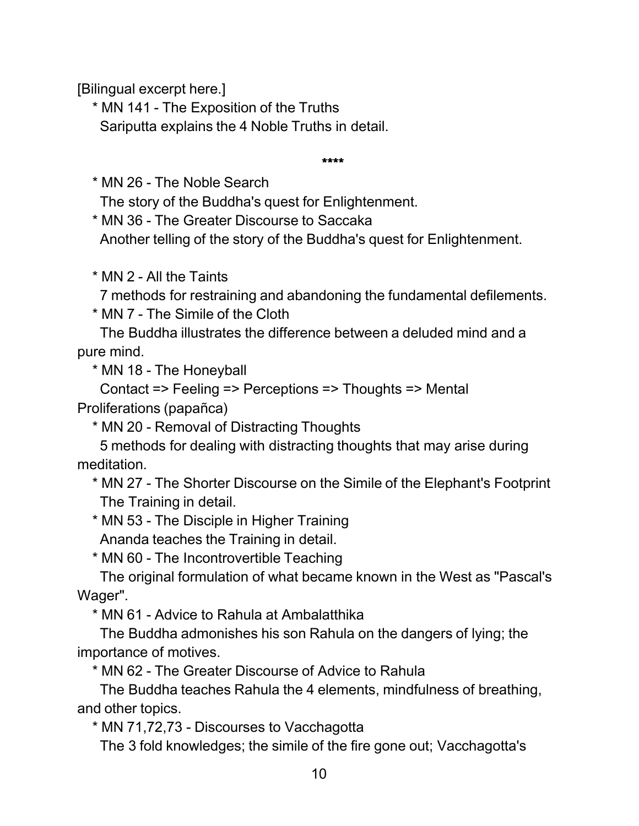[Bilingual excerpt here.]

\* MN 141 - The Exposition of the Truths Sariputta explains the 4 Noble Truths in detail.

\*\*\*\*

\* MN 26 - The Noble Search

The story of the Buddha's quest for Enlightenment.

\* MN 36 - The Greater Discourse to Saccaka

Another telling of the story of the Buddha's quest for Enlightenment.

\* MN 2 - All the Taints

7 methods for restraining and abandoning the fundamental defilements.

\* MN 7 - The Simile of the Cloth

The Buddha illustrates the difference between a deluded mind and a pure mind.

\* MN 18 - The Honeyball

Contact => Feeling => Perceptions => Thoughts => Mental Proliferations (papañca)

\* MN 20 - Removal of Distracting Thoughts

5 methods for dealing with distracting thoughts that may arise during meditation.

\* MN 27 - The Shorter Discourse on the Simile of the Elephant's Footprint The Training in detail.

\* MN 53 - The Disciple in Higher Training

Ananda teaches the Training in detail.

\* MN 60 - The Incontrovertible Teaching

The original formulation of what became known in the West as "Pascal's Wager".

\* MN 61 - Advice to Rahula at Ambalatthika

The Buddha admonishes his son Rahula on the dangers of lying; the importance of motives.

\* MN 62 - The Greater Discourse of Advice to Rahula

The Buddha teaches Rahula the 4 elements, mindfulness of breathing, and other topics.

\* MN 71,72,73 - Discourses to Vacchagotta

The 3 fold knowledges; the simile of the fire gone out; Vacchagotta's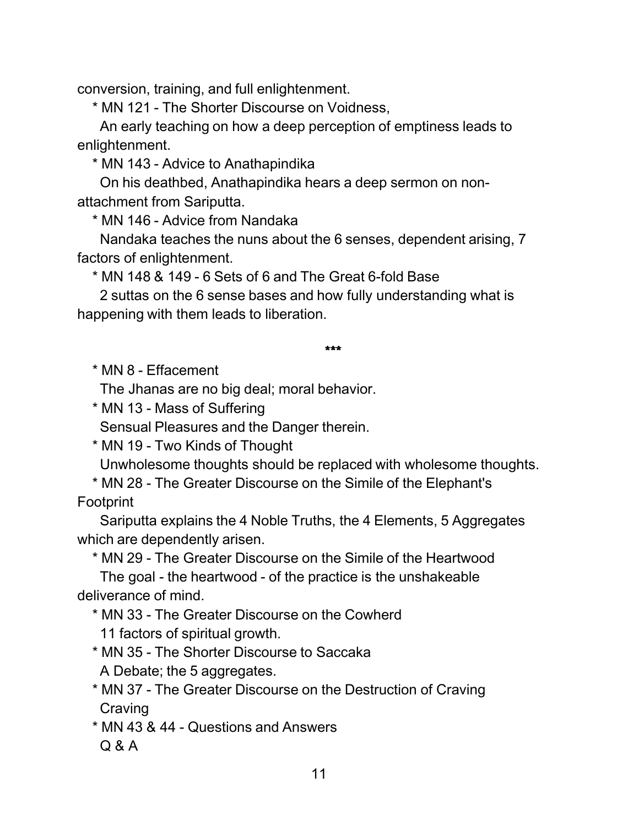conversion, training, and full enlightenment.

\* MN 121 - The Shorter Discourse on Voidness,

An early teaching on how a deep perception of emptiness leads to enlightenment.

\* MN 143 - Advice to Anathapindika

On his deathbed, Anathapindika hears a deep sermon on nonattachment from Sariputta.

\* MN 146 - Advice from Nandaka

Nandaka teaches the nuns about the 6 senses, dependent arising, 7 factors of enlightenment.

\* MN 148 & 149 - 6 Sets of 6 and The Great 6-fold Base

2 suttas on the 6 sense bases and how fully understanding what is happening with them leads to liberation.

\*\*\*

\* MN 8 - Effacement

The Jhanas are no big deal; moral behavior.

\* MN 13 - Mass of Suffering

Sensual Pleasures and the Danger therein.

\* MN 19 - Two Kinds of Thought

Unwholesome thoughts should be replaced with wholesome thoughts.

\* MN 28 - The Greater Discourse on the Simile of the Elephant's Footprint

Sariputta explains the 4 Noble Truths, the 4 Elements, 5 Aggregates which are dependently arisen.

\* MN 29 - The Greater Discourse on the Simile of the Heartwood

The goal - the heartwood - of the practice is the unshakeable deliverance of mind.

\* MN 33 - The Greater Discourse on the Cowherd

11 factors of spiritual growth.

\* MN 35 - The Shorter Discourse to Saccaka

A Debate; the 5 aggregates.

\* MN 37 - The Greater Discourse on the Destruction of Craving **Craving** 

\* MN 43 & 44 - Questions and Answers Q & A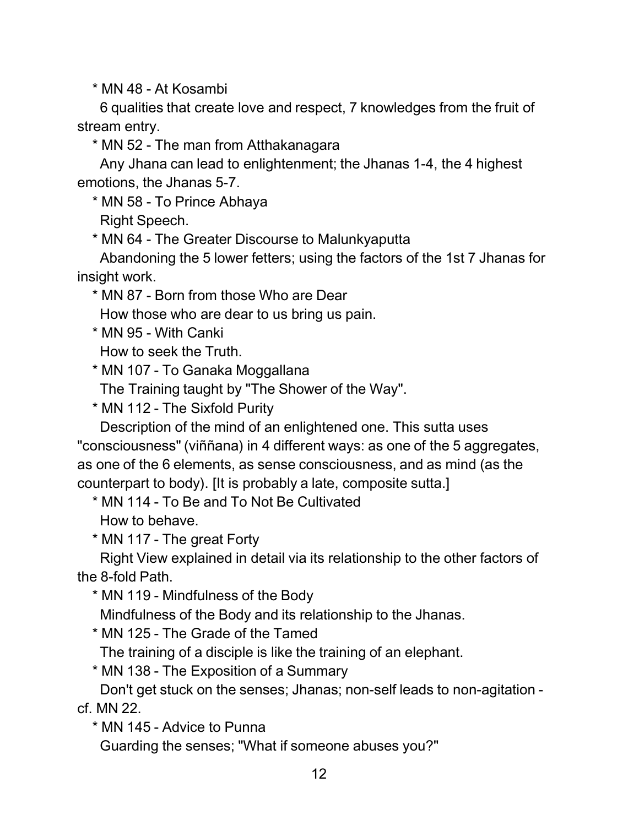\* MN 48 - At Kosambi

6 qualities that create love and respect, 7 knowledges from the fruit of stream entry.

\* MN 52 - The man from Atthakanagara

Any Jhana can lead to enlightenment; the Jhanas 1-4, the 4 highest emotions, the Jhanas 5-7.

\* MN 58 - To Prince Abhaya

Right Speech.

\* MN 64 - The Greater Discourse to Malunkyaputta

Abandoning the 5 lower fetters; using the factors of the 1st 7 Jhanas for insight work.

\* MN 87 - Born from those Who are Dear

How those who are dear to us bring us pain.

\* MN 95 - With Canki

How to seek the Truth.

\* MN 107 - To Ganaka Moggallana

The Training taught by "The Shower of the Way".

\* MN 112 - The Sixfold Purity

Description of the mind of an enlightened one. This sutta uses "consciousness" (viññana) in 4 different ways: as one of the 5 aggregates, as one of the 6 elements, as sense consciousness, and as mind (as the counterpart to body). [It is probably a late, composite sutta.]

\* MN 114 - To Be and To Not Be Cultivated

How to behave.

\* MN 117 - The great Forty

Right View explained in detail via its relationship to the other factors of the 8-fold Path.

\* MN 119 - Mindfulness of the Body

Mindfulness of the Body and its relationship to the Jhanas.

\* MN 125 - The Grade of the Tamed

The training of a disciple is like the training of an elephant.

\* MN 138 - The Exposition of a Summary

Don't get stuck on the senses; Jhanas; non-self leads to non-agitation cf. MN 22.

\* MN 145 - Advice to Punna

Guarding the senses; "What if someone abuses you?"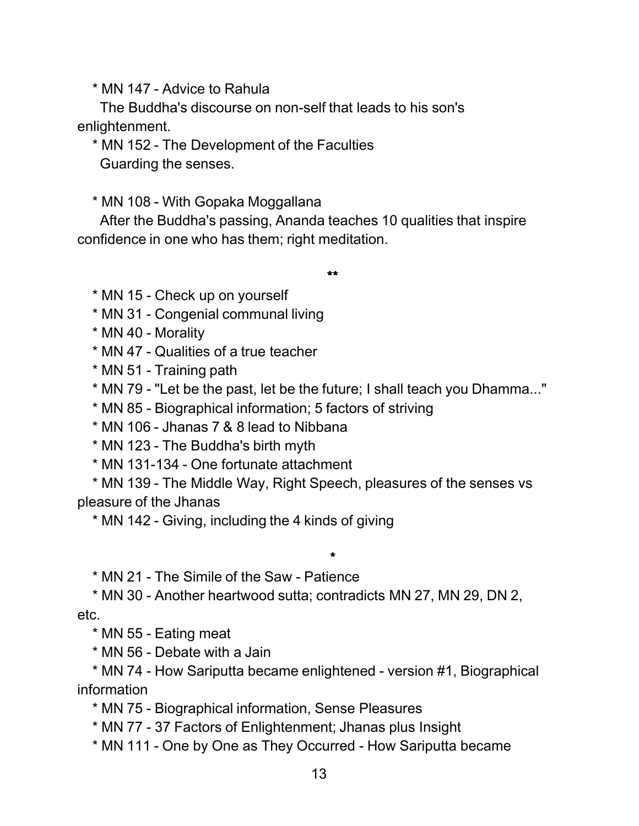\* MN 147 - Advice to Rahula

The Buddha's discourse on non-self that leads to his son's enlightenment.

\* MN 152 - The Development of the Faculties Guarding the senses.

\* MN 108 - With Gopaka Moggallana

After the Buddha's passing, Ananda teaches 10 qualities that inspire confidence in one who has them; right meditation.

\*\*

\* MN 15 - Check up on yourself

\* MN 31 - Congenial communal living

\* MN 40 - Morality

\* MN 47 - Qualities of a true teacher

\* MN 51 - Training path

\* MN 79 - "Let be the past, let be the future; I shall teach you Dhamma..."

\* MN 85 - Biographical information; 5 factors of striving

\* MN 106 - Jhanas 7 & 8 lead to Nibbana

\* MN 123 - The Buddha's birth myth

\* MN 131-134 - One fortunate attachment

\* MN 139 - The Middle Way, Right Speech, pleasures of the senses vs pleasure of the Jhanas

\*

\* MN 142 - Giving, including the 4 kinds of giving

\* MN 21 - The Simile of the Saw - Patience

\* MN 30 - Another heartwood sutta; contradicts MN 27, MN 29, DN 2, etc.

\* MN 55 - Eating meat

\* MN 56 - Debate with a Jain

\* MN 74 - How Sariputta became enlightened - version #1, Biographical information

\* MN 75 - Biographical information, Sense Pleasures

\* MN 77 - 37 Factors of Enlightenment; Jhanas plus Insight

\* MN 111 - One by One as They Occurred - How Sariputta became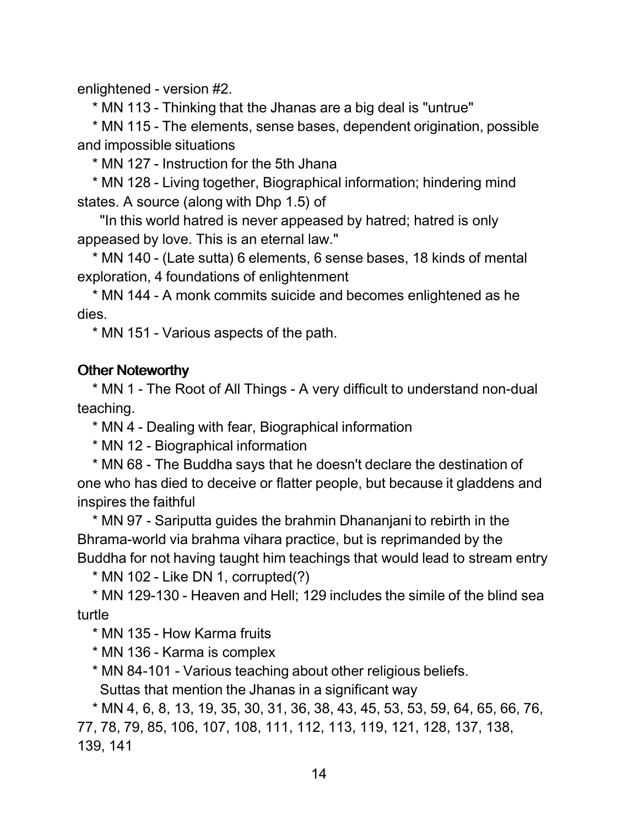enlightened - version #2.

\* MN 113 - Thinking that the Jhanas are a big deal is "untrue"

\* MN 115 - The elements, sense bases, dependent origination, possible and impossible situations

\* MN 127 - Instruction for the 5th Jhana

\* MN 128 - Living together, Biographical information; hindering mind states. A source (along with Dhp 1.5) of

"In this world hatred is never appeased by hatred; hatred is only appeased by love. This is an eternal law."

\* MN 140 - (Late sutta) 6 elements, 6 sense bases, 18 kinds of mental exploration, 4 foundations of enlightenment

\* MN 144 - A monk commits suicide and becomes enlightened as he dies.

\* MN 151 - Various aspects of the path.

#### Other Noteworthy

\* MN 1 - The Root of All Things - A very difficult to understand non-dual teaching.

\* MN 4 - Dealing with fear, Biographical information

\* MN 12 - Biographical information

\* MN 68 - The Buddha says that he doesn't declare the destination of one who has died to deceive or flatter people, but because it gladdens and inspires the faithful

\* MN 97 - Sariputta guides the brahmin Dhananjani to rebirth in the Bhrama-world via brahma vihara practice, but is reprimanded by the Buddha for not having taught him teachings that would lead to stream entry

\* MN 102 - Like DN 1, corrupted(?)

\* MN 129-130 - Heaven and Hell; 129 includes the simile of the blind sea turtle

\* MN 135 - How Karma fruits

\* MN 136 - Karma is complex

\* MN 84-101 - Various teaching about other religious beliefs.

Suttas that mention the Jhanas in a significant way

\* MN 4, 6, 8, 13, 19, 35, 30, 31, 36, 38, 43, 45, 53, 53, 59, 64, 65, 66, 76, 77, 78, 79, 85, 106, 107, 108, 111, 112, 113, 119, 121, 128, 137, 138, 139, 141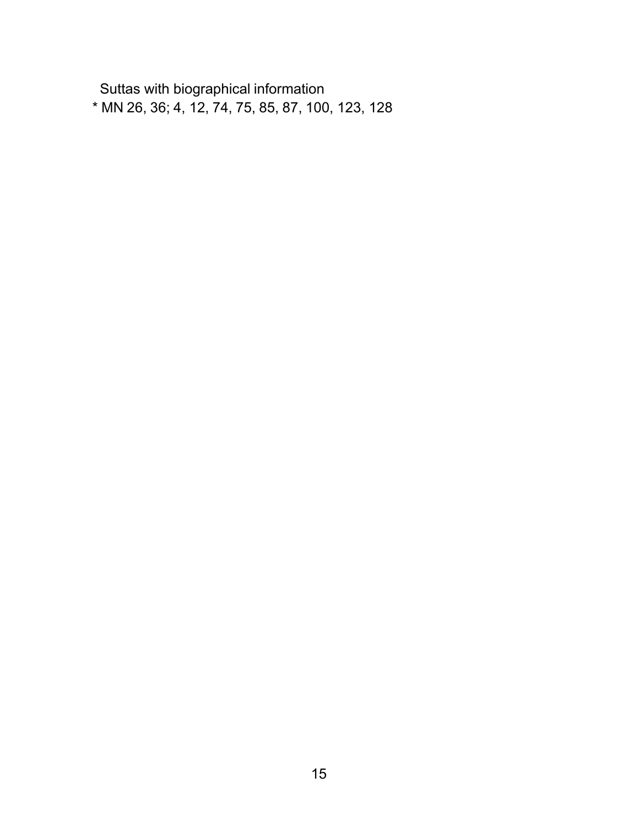Suttas with biographical information \* MN 26, 36; 4, 12, 74, 75, 85, 87, 100, 123, 128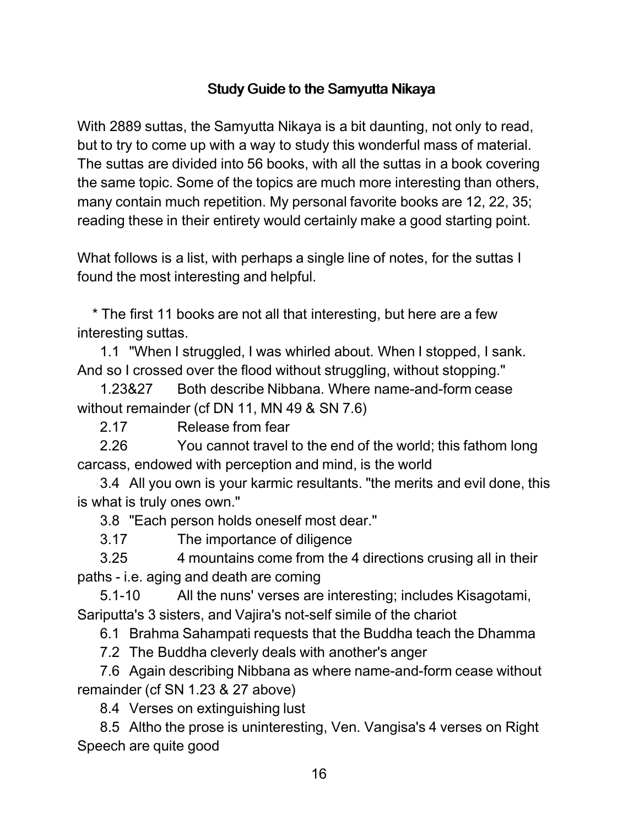## Study Guide to the Samyutta Nikaya

With 2889 suttas, the Samyutta Nikaya is a bit daunting, not only to read, but to try to come up with a way to study this wonderful mass of material. The suttas are divided into 56 books, with all the suttas in a book covering the same topic. Some of the topics are much more interesting than others, many contain much repetition. My personal favorite books are 12, 22, 35; reading these in their entirety would certainly make a good starting point.

What follows is a list, with perhaps a single line of notes, for the suttas I found the most interesting and helpful.

\* The first 11 books are not all that interesting, but here are a few interesting suttas.

1.1 "When I struggled, I was whirled about. When I stopped, I sank. And so I crossed over the flood without struggling, without stopping."

1.23&27 Both describe Nibbana. Where name-and-form cease without remainder (cf DN 11, MN 49 & SN 7.6)

2.17 Release from fear

2.26 You cannot travel to the end of the world; this fathom long carcass, endowed with perception and mind, is the world

3.4 All you own is your karmic resultants. "the merits and evil done, this is what is truly ones own."

3.8 "Each person holds oneself most dear."

3.17 The importance of diligence

3.25 4 mountains come from the 4 directions crusing all in their paths - i.e. aging and death are coming

5.1-10 All the nuns' verses are interesting; includes Kisagotami, Sariputta's 3 sisters, and Vajira's not-self simile of the chariot

6.1 Brahma Sahampati requests that the Buddha teach the Dhamma

7.2 The Buddha cleverly deals with another's anger

7.6 Again describing Nibbana as where name-and-form cease without remainder (cf SN 1.23 & 27 above)

8.4 Verses on extinguishing lust

8.5 Altho the prose is uninteresting, Ven. Vangisa's 4 verses on Right Speech are quite good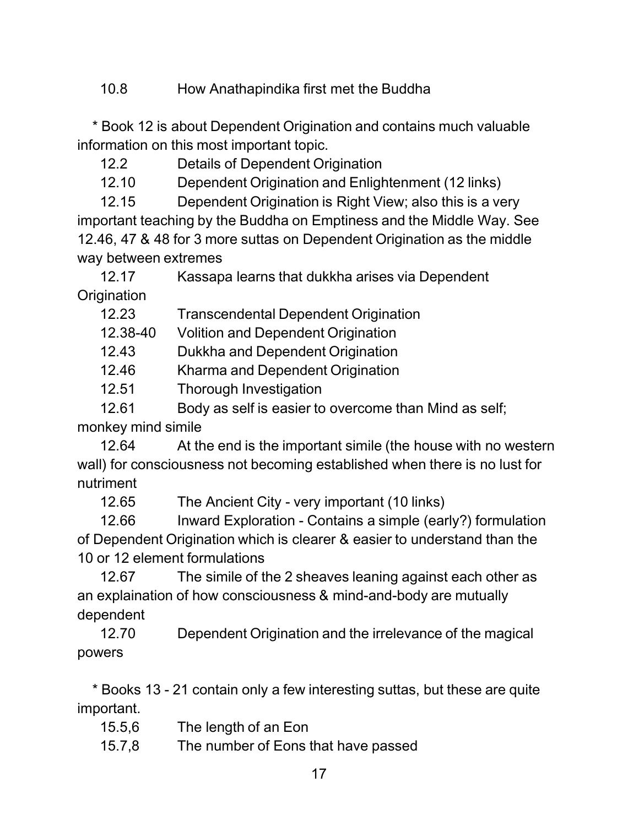10.8 How Anathapindika first met the Buddha

\* Book 12 is about Dependent Origination and contains much valuable information on this most important topic.

12.2 Details of Dependent Origination

12.10 Dependent Origination and Enlightenment (12 links)

12.15 Dependent Origination is Right View; also this is a very important teaching by the Buddha on Emptiness and the Middle Way. See 12.46, 47 & 48 for 3 more suttas on Dependent Origination as the middle way between extremes

12.17 Kassapa learns that dukkha arises via Dependent **Origination** 

12.23 Transcendental Dependent Origination

12.38-40 Volition and Dependent Origination

12.43 Dukkha and Dependent Origination

12.46 Kharma and Dependent Origination

12.51 Thorough Investigation

12.61 Body as self is easier to overcome than Mind as self;

monkey mind simile

12.64 At the end is the important simile (the house with no western wall) for consciousness not becoming established when there is no lust for nutriment

12.65 The Ancient City - very important (10 links)

12.66 Inward Exploration - Contains a simple (early?) formulation of Dependent Origination which is clearer & easier to understand than the 10 or 12 element formulations

12.67 The simile of the 2 sheaves leaning against each other as an explaination of how consciousness & mind-and-body are mutually dependent

12.70 Dependent Origination and the irrelevance of the magical powers

\* Books 13 - 21 contain only a few interesting suttas, but these are quite important.

- 15.5,6 The length of an Eon
- 15.7,8 The number of Eons that have passed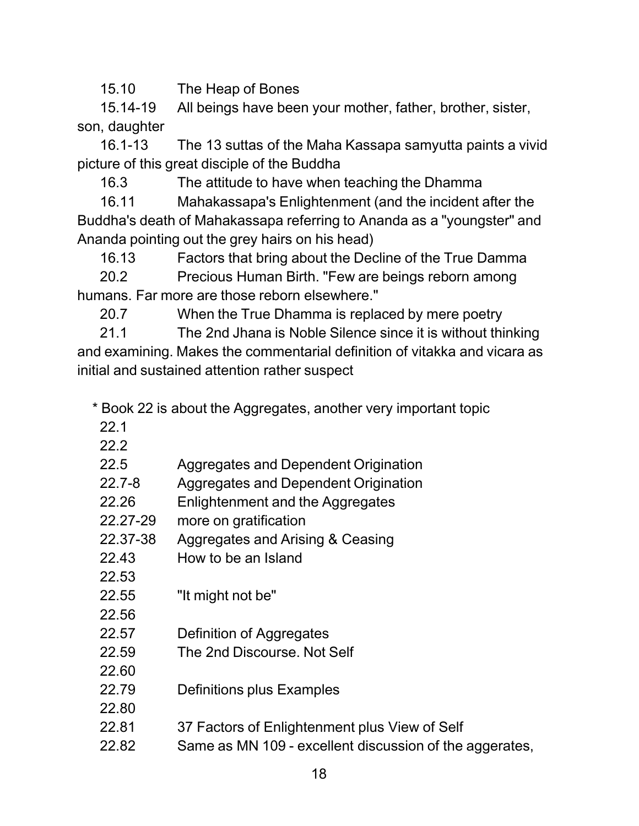15.10 The Heap of Bones

15.14-19 All beings have been your mother, father, brother, sister, son, daughter

16.1-13 The 13 suttas of the Maha Kassapa samyutta paints a vivid picture of this great disciple of the Buddha

16.3 The attitude to have when teaching the Dhamma

16.11 Mahakassapa's Enlightenment (and the incident after the Buddha's death of Mahakassapa referring to Ananda as a "youngster" and Ananda pointing out the grey hairs on his head)

16.13 Factors that bring about the Decline of the True Damma

20.2 Precious Human Birth. "Few are beings reborn among humans. Far more are those reborn elsewhere."

20.7 When the True Dhamma is replaced by mere poetry

21.1 The 2nd Jhana is Noble Silence since it is without thinking and examining. Makes the commentarial definition of vitakka and vicara as initial and sustained attention rather suspect

\* Book 22 is about the Aggregates, another very important topic

- 22.1
- 22.2

| 22.5 | Aggregates and Dependent Origination |  |  |
|------|--------------------------------------|--|--|
|------|--------------------------------------|--|--|

- 22.7-8 Aggregates and Dependent Origination
- 22.26 Enlightenment and the Aggregates
- 22.27-29 more on gratification
- 22.37-38 Aggregates and Arising & Ceasing
- 22.43 How to be an Island
- 22.53 22.55 "It might not be"
- 22.56
- 22.57 Definition of Aggregates
- 22.59 The 2nd Discourse. Not Self
- 22.79 Definitions plus Examples
- 22.80

22.60

- 22.81 37 Factors of Enlightenment plus View of Self
- 22.82 Same as MN 109 excellent discussion of the aggerates,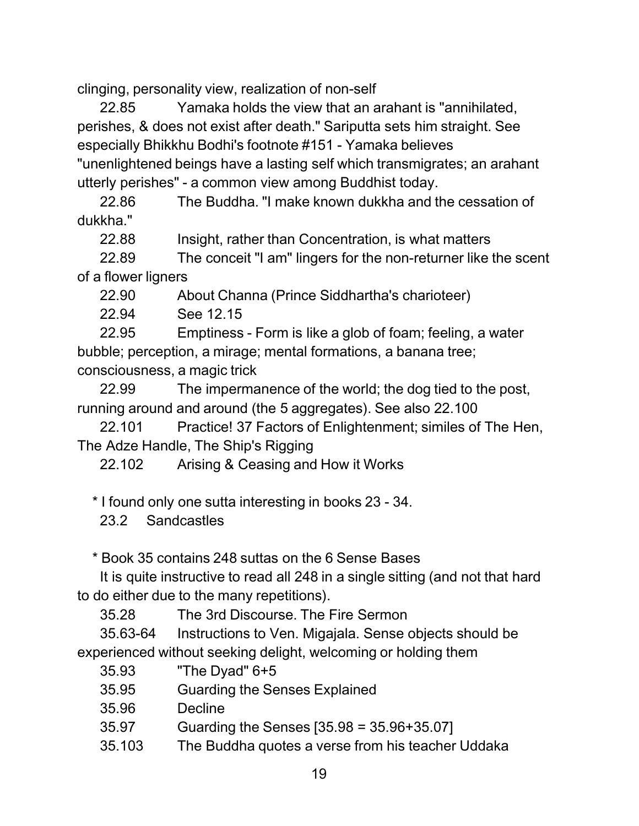clinging, personality view, realization of non-self

22.85 Yamaka holds the view that an arahant is "annihilated, perishes, & does not exist after death." Sariputta sets him straight. See especially Bhikkhu Bodhi's footnote #151 - Yamaka believes "unenlightened beings have a lasting self which transmigrates; an arahant utterly perishes" - a common view among Buddhist today.

22.86 The Buddha. "I make known dukkha and the cessation of dukkha."

22.88 Insight, rather than Concentration, is what matters

22.89 The conceit "I am" lingers for the non-returner like the scent of a flower ligners

22.90 About Channa (Prince Siddhartha's charioteer)

22.94 See 12.15

22.95 Emptiness - Form is like a glob of foam; feeling, a water bubble; perception, a mirage; mental formations, a banana tree; consciousness, a magic trick

22.99 The impermanence of the world; the dog tied to the post, running around and around (the 5 aggregates). See also 22.100

22.101 Practice! 37 Factors of Enlightenment; similes of The Hen, The Adze Handle, The Ship's Rigging

22.102 Arising & Ceasing and How it Works

\* I found only one sutta interesting in books 23 - 34.

23.2 Sandcastles

\* Book 35 contains 248 suttas on the 6 Sense Bases

It is quite instructive to read all 248 in a single sitting (and not that hard to do either due to the many repetitions).

35.28 The 3rd Discourse. The Fire Sermon

35.63-64 Instructions to Ven. Migajala. Sense objects should be experienced without seeking delight, welcoming or holding them

- 35.93 "The Dyad" 6+5
- 35.95 Guarding the Senses Explained
- 35.96 Decline
- 35.97 Guarding the Senses [35.98 = 35.96+35.07]
- 35.103 The Buddha quotes a verse from his teacher Uddaka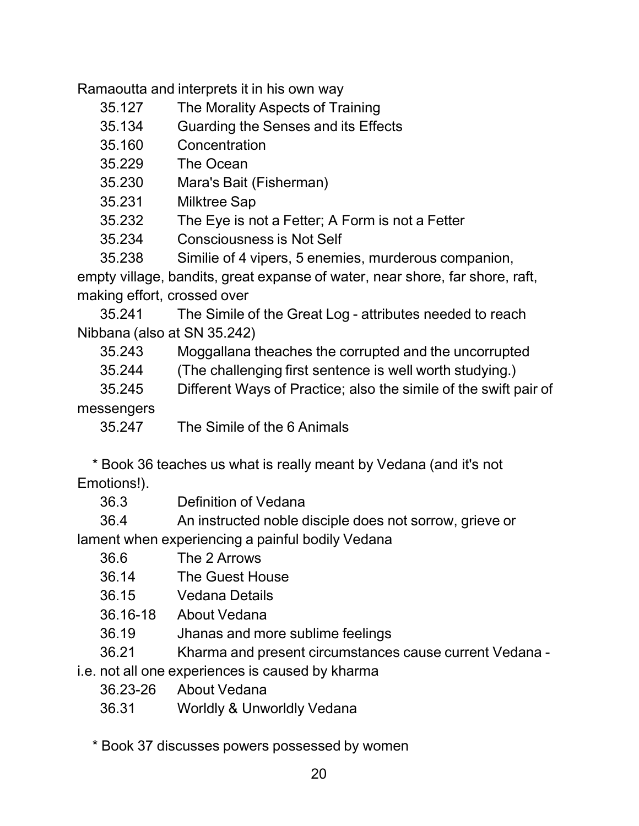Ramaoutta and interprets it in his own way

- 35.127 The Morality Aspects of Training
- 35.134 Guarding the Senses and its Effects
- 35.160 Concentration
- 35.229 The Ocean
- 35.230 Mara's Bait (Fisherman)
- 35.231 Milktree Sap
- 35.232 The Eye is not a Fetter; A Form is not a Fetter
- 35.234 Consciousness is Not Self

35.238 Similie of 4 vipers, 5 enemies, murderous companion, empty village, bandits, great expanse of water, near shore, far shore, raft, making effort, crossed over

35.241 The Simile of the Great Log - attributes needed to reach Nibbana (also at SN 35.242)

35.243 Moggallana theaches the corrupted and the uncorrupted

35.244 (The challenging first sentence is well worth studying.)

35.245 Different Ways of Practice; also the simile of the swift pair of

messengers

35.247 The Simile of the 6 Animals

\* Book 36 teaches us what is really meant by Vedana (and it's not Emotions!).

36.3 Definition of Vedana

36.4 An instructed noble disciple does not sorrow, grieve or lament when experiencing a painful bodily Vedana

- 36.6 The 2 Arrows
- 36.14 The Guest House
- 36.15 Vedana Details
- 36.16-18 About Vedana
- 36.19 Jhanas and more sublime feelings
- 36.21 Kharma and present circumstances cause current Vedana -

i.e. not all one experiences is caused by kharma

- 36.23-26 About Vedana
- 36.31 Worldly & Unworldly Vedana

\* Book 37 discusses powers possessed by women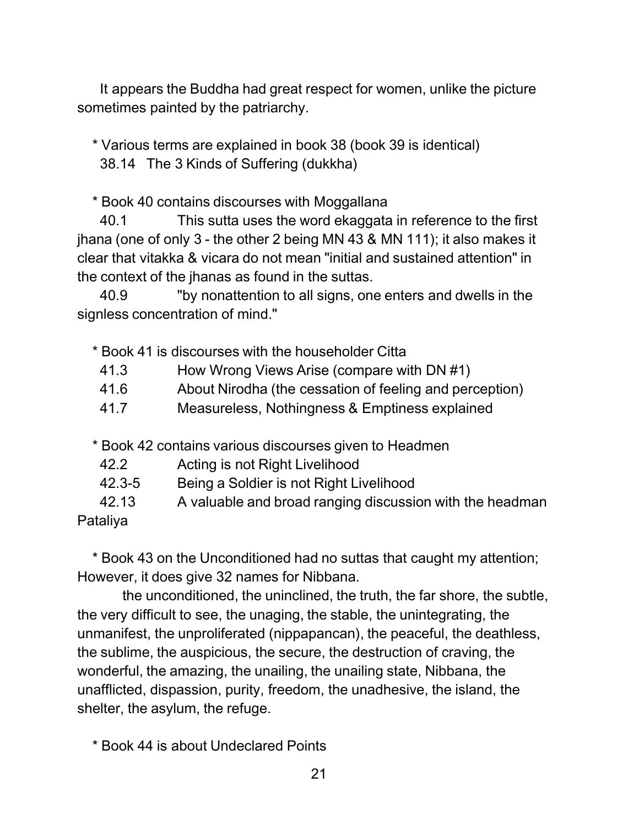It appears the Buddha had great respect for women, unlike the picture sometimes painted by the patriarchy.

\* Various terms are explained in book 38 (book 39 is identical) 38.14 The 3 Kinds of Suffering (dukkha)

\* Book 40 contains discourses with Moggallana

40.1 This sutta uses the word ekaggata in reference to the first jhana (one of only 3 - the other 2 being MN 43 & MN 111); it also makes it clear that vitakka & vicara do not mean "initial and sustained attention" in the context of the jhanas as found in the suttas.

40.9 "by nonattention to all signs, one enters and dwells in the signless concentration of mind."

\* Book 41 is discourses with the householder Citta

- 41.3 How Wrong Views Arise (compare with DN #1)
- 41.6 About Nirodha (the cessation of feeling and perception)
- 41.7 Measureless, Nothingness & Emptiness explained

\* Book 42 contains various discourses given to Headmen

- 42.2 Acting is not Right Livelihood
- 42.3-5 Being a Soldier is not Right Livelihood
- 42.13 A valuable and broad ranging discussion with the headman

Pataliya

\* Book 43 on the Unconditioned had no suttas that caught my attention; However, it does give 32 names for Nibbana.

the unconditioned, the uninclined, the truth, the far shore, the subtle, the very difficult to see, the unaging, the stable, the unintegrating, the unmanifest, the unproliferated (nippapancan), the peaceful, the deathless, the sublime, the auspicious, the secure, the destruction of craving, the wonderful, the amazing, the unailing, the unailing state, Nibbana, the unafflicted, dispassion, purity, freedom, the unadhesive, the island, the shelter, the asylum, the refuge.

\* Book 44 is about Undeclared Points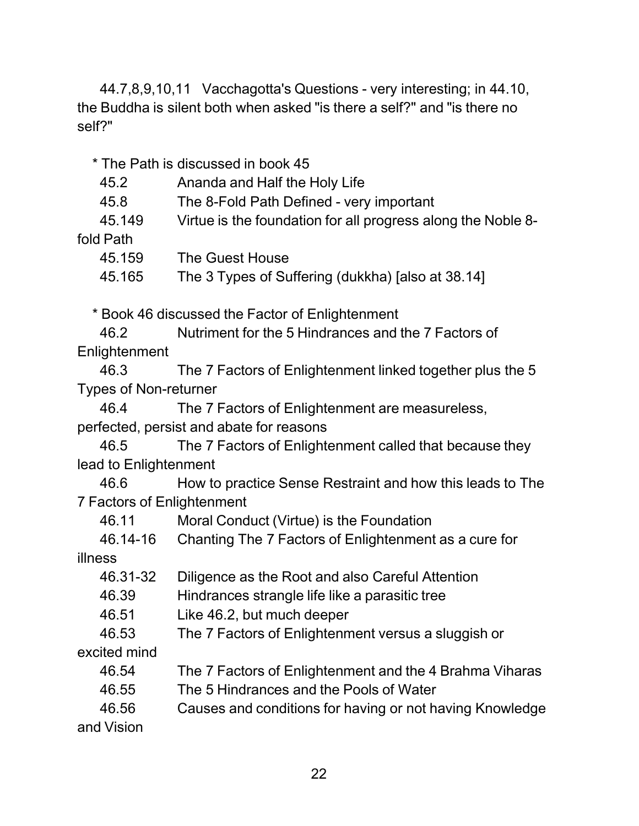44.7,8,9,10,11 Vacchagotta's Questions - very interesting; in 44.10, the Buddha is silent both when asked "is there a self?" and "is there no self?"

\* The Path is discussed in book 45

| 45.2 | Ananda and Half the Holy Life |  |
|------|-------------------------------|--|
|      |                               |  |

45.8 The 8-Fold Path Defined - very important

45.149 Virtue is the foundation for all progress along the Noble 8-

fold Path

| The Guest House<br>45.159 |
|---------------------------|
|                           |

45.165 The 3 Types of Suffering (dukkha) [also at 38.14]

\* Book 46 discussed the Factor of Enlightenment

46.2 Nutriment for the 5 Hindrances and the 7 Factors of Enlightenment

46.3 The 7 Factors of Enlightenment linked together plus the 5 Types of Non-returner

46.4 The 7 Factors of Enlightenment are measureless, perfected, persist and abate for reasons

46.5 The 7 Factors of Enlightenment called that because they lead to Enlightenment

46.6 How to practice Sense Restraint and how this leads to The 7 Factors of Enlightenment

46.11 Moral Conduct (Virtue) is the Foundation

|  |  | 46.14-16 Chanting The 7 Factors of Enlightenment as a cure for |
|--|--|----------------------------------------------------------------|
|--|--|----------------------------------------------------------------|

illness

| IIIII 1699   |                                                          |
|--------------|----------------------------------------------------------|
| 46.31-32     | Diligence as the Root and also Careful Attention         |
| 46.39        | Hindrances strangle life like a parasitic tree           |
| 46.51        | Like 46.2, but much deeper                               |
| 46.53        | The 7 Factors of Enlightenment versus a sluggish or      |
| excited mind |                                                          |
| 46.54        | The 7 Factors of Enlightenment and the 4 Brahma Viharas  |
| 46.55        | The 5 Hindrances and the Pools of Water                  |
| 46.56        | Causes and conditions for having or not having Knowledge |
| and Vision   |                                                          |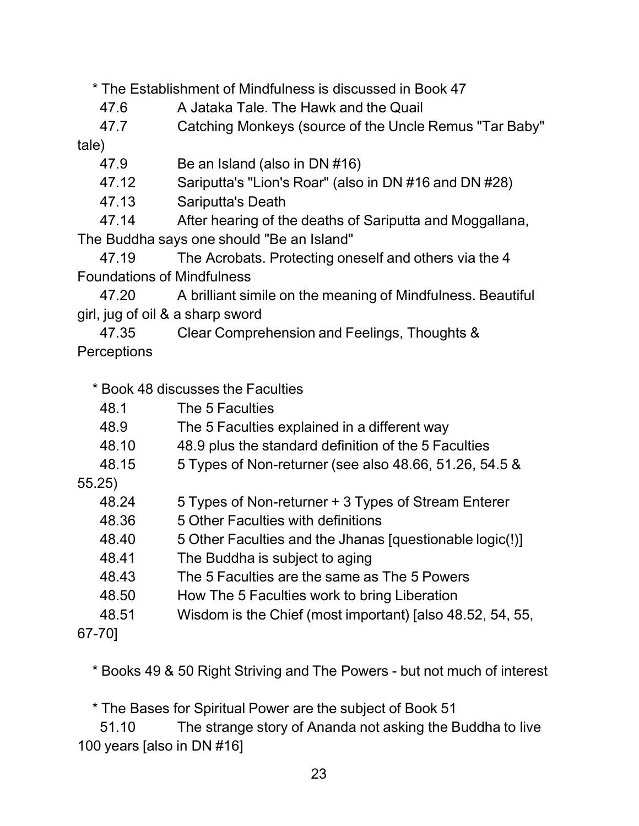\* The Establishment of Mindfulness is discussed in Book 47

47.6 A Jataka Tale. The Hawk and the Quail

47.7 Catching Monkeys (source of the Uncle Remus "Tar Baby"

tale)

47.9 Be an Island (also in DN #16)

47.12 Sariputta's "Lion's Roar" (also in DN #16 and DN #28)

47.13 Sariputta's Death

47.14 After hearing of the deaths of Sariputta and Moggallana, The Buddha says one should "Be an Island"

47.19 The Acrobats. Protecting oneself and others via the 4 Foundations of Mindfulness

47.20 A brilliant simile on the meaning of Mindfulness. Beautiful girl, jug of oil & a sharp sword

47.35 Clear Comprehension and Feelings, Thoughts & **Perceptions** 

\* Book 48 discusses the Faculties

| The 5 Faculties |
|-----------------|
|                 |

- 48.9 The 5 Faculties explained in a different way
- 48.10 48.9 plus the standard definition of the 5 Faculties
- 48.15 5 Types of Non-returner (see also 48.66, 51.26, 54.5 &

55.25)

| 48.24 | 5 Types of Non-returner + 3 Types of Stream Enterer |
|-------|-----------------------------------------------------|
|-------|-----------------------------------------------------|

- 48.36 5 Other Faculties with definitions
- 48.40 5 Other Faculties and the Jhanas [questionable logic(!)]
- 48.41 The Buddha is subject to aging
- 48.43 The 5 Faculties are the same as The 5 Powers
- 48.50 How The 5 Faculties work to bring Liberation
- 48.51 Wisdom is the Chief (most important) [also 48.52, 54, 55,

67-70]

\* Books 49 & 50 Right Striving and The Powers - but not much of interest

\* The Bases for Spiritual Power are the subject of Book 51

51.10 The strange story of Ananda not asking the Buddha to live 100 years [also in DN #16]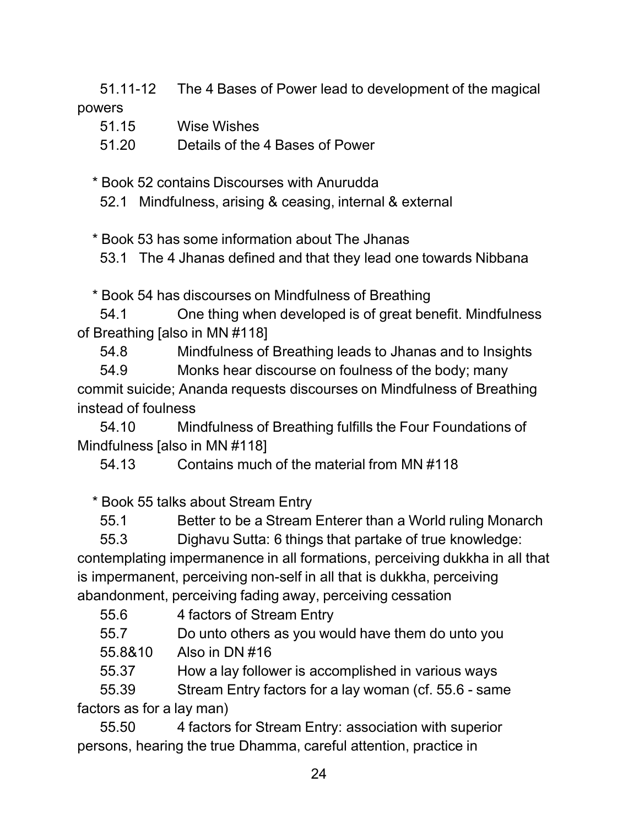51.11-12 The 4 Bases of Power lead to development of the magical powers

| 51.15 | Wise Wishes                     |
|-------|---------------------------------|
| 51.20 | Details of the 4 Bases of Power |

\* Book 52 contains Discourses with Anurudda

52.1 Mindfulness, arising & ceasing, internal & external

\* Book 53 has some information about The Jhanas

53.1 The 4 Jhanas defined and that they lead one towards Nibbana

\* Book 54 has discourses on Mindfulness of Breathing

54.1 One thing when developed is of great benefit. Mindfulness of Breathing [also in MN #118]

54.8 Mindfulness of Breathing leads to Jhanas and to Insights

54.9 Monks hear discourse on foulness of the body; many commit suicide; Ananda requests discourses on Mindfulness of Breathing instead of foulness

54.10 Mindfulness of Breathing fulfills the Four Foundations of Mindfulness [also in MN #118]

54.13 Contains much of the material from MN #118

\* Book 55 talks about Stream Entry

55.1 Better to be a Stream Enterer than a World ruling Monarch

55.3 Dighavu Sutta: 6 things that partake of true knowledge: contemplating impermanence in all formations, perceiving dukkha in all that is impermanent, perceiving non-self in all that is dukkha, perceiving abandonment, perceiving fading away, perceiving cessation

55.6 4 factors of Stream Entry

55.7 Do unto others as you would have them do unto you

55.8&10 Also in DN #16

55.37 How a lay follower is accomplished in various ways

55.39 Stream Entry factors for a lay woman (cf. 55.6 - same factors as for a lay man)

55.50 4 factors for Stream Entry: association with superior persons, hearing the true Dhamma, careful attention, practice in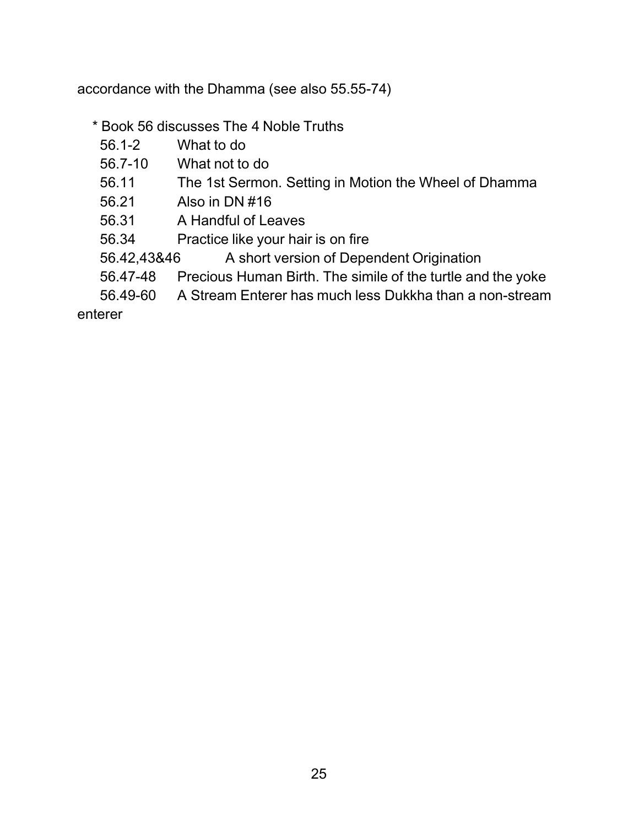accordance with the Dhamma (see also 55.55-74)

- \* Book 56 discusses The 4 Noble Truths
	- 56.1-2 What to do
	- 56.7-10 What not to do
	- 56.11 The 1st Sermon. Setting in Motion the Wheel of Dhamma
	- 56.21 Also in DN #16
	- 56.31 A Handful of Leaves
	- 56.34 Practice like your hair is on fire
	- 56.42,43&46 A short version of Dependent Origination
	- 56.47-48 Precious Human Birth. The simile of the turtle and the yoke
	- 56.49-60 A Stream Enterer has much less Dukkha than a non-stream

enterer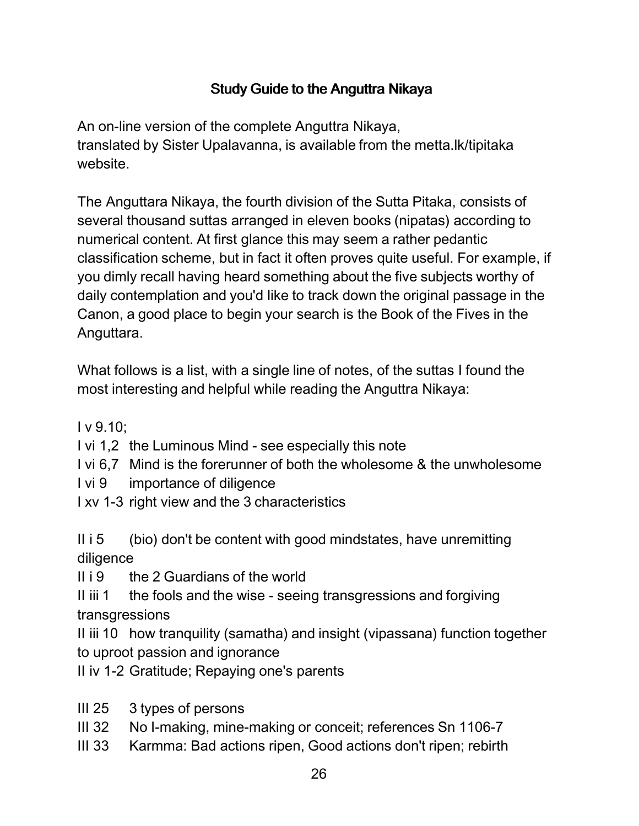# Study Guide to the Anguttra Nikaya

An on-line version of the complete Anguttra Nikaya, translated by Sister Upalavanna, is available from the metta.lk/tipitaka website.

The Anguttara Nikaya, the fourth division of the Sutta Pitaka, consists of several thousand suttas arranged in eleven books (nipatas) according to numerical content. At first glance this may seem a rather pedantic classification scheme, but in fact it often proves quite useful. For example, if you dimly recall having heard something about the five subjects worthy of daily contemplation and you'd like to track down the original passage in the Canon, a good place to begin your search is the Book of the Fives in the Anguttara.

What follows is a list, with a single line of notes, of the suttas I found the most interesting and helpful while reading the Anguttra Nikaya:

 $I v 9.10$ ;

I vi 1,2 the Luminous Mind - see especially this note

I vi 6,7 Mind is the forerunner of both the wholesome & the unwholesome

I vi 9 importance of diligence

I xv 1-3 right view and the 3 characteristics

II  $i$  5 (bio) don't be content with good mindstates, have unremitting diligence

 $II$  i 9 the 2 Guardians of the world

II iii 1 the fools and the wise - seeing transgressions and forgiving transgressions

II iii 10 how tranquility (samatha) and insight (vipassana) function together to uproot passion and ignorance

II iv 1-2 Gratitude; Repaying one's parents

- III 25 3 types of persons
- III 32 No I-making, mine-making or conceit; references Sn 1106-7
- III 33 Karmma: Bad actions ripen, Good actions don't ripen; rebirth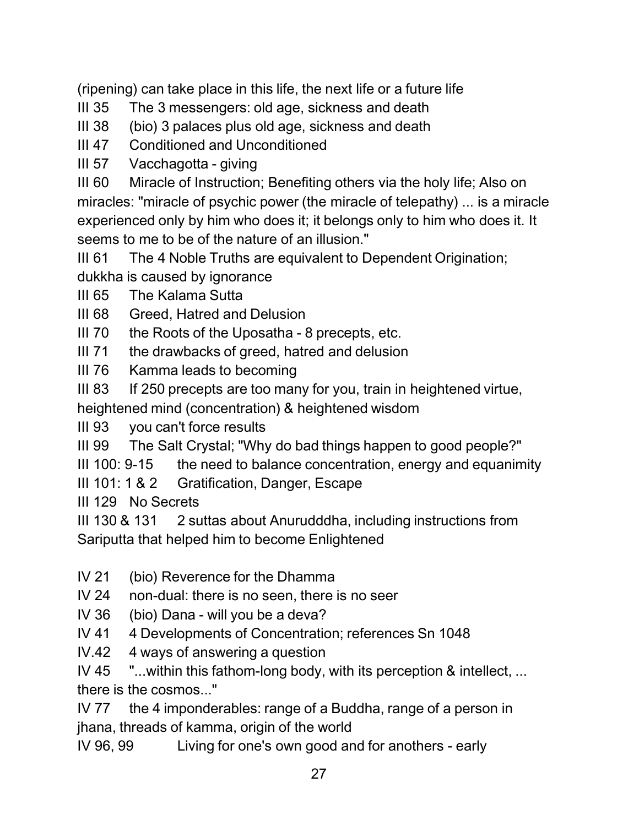(ripening) can take place in this life, the next life or a future life

III 35 The 3 messengers: old age, sickness and death

III 38 (bio) 3 palaces plus old age, sickness and death

III 47 Conditioned and Unconditioned

III 57 Vacchagotta - giving

III 60 Miracle of Instruction; Benefiting others via the holy life; Also on miracles: "miracle of psychic power (the miracle of telepathy) ... is a miracle experienced only by him who does it; it belongs only to him who does it. It seems to me to be of the nature of an illusion."

III 61 The 4 Noble Truths are equivalent to Dependent Origination; dukkha is caused by ignorance

III 65 The Kalama Sutta

III 68 Greed, Hatred and Delusion

III  $70$  the Roots of the Uposatha - 8 precepts, etc.

III 71 the drawbacks of greed, hatred and delusion

III 76 Kamma leads to becoming

III 83 If 250 precepts are too many for you, train in heightened virtue, heightened mind (concentration) & heightened wisdom

III 93 you can't force results

III 99 The Salt Crystal; "Why do bad things happen to good people?"

III 100:  $9-15$  the need to balance concentration, energy and equanimity

III 101: 1 & 2 Gratification, Danger, Escape

III 129 No Secrets

III 130 & 131 2 suttas about Anurudddha, including instructions from Sariputta that helped him to become Enlightened

- IV 21 (bio) Reverence for the Dhamma
- IV 24 non-dual: there is no seen, there is no seer
- IV 36 (bio) Dana will you be a deva?
- IV 41 4 Developments of Concentration; references Sn 1048
- IV.42 4 ways of answering a question

IV 45 "...within this fathom-long body, with its perception & intellect, ... there is the cosmos..."

IV 77 the 4 imponderables: range of a Buddha, range of a person in jhana, threads of kamma, origin of the world

IV 96, 99 Living for one's own good and for anothers - early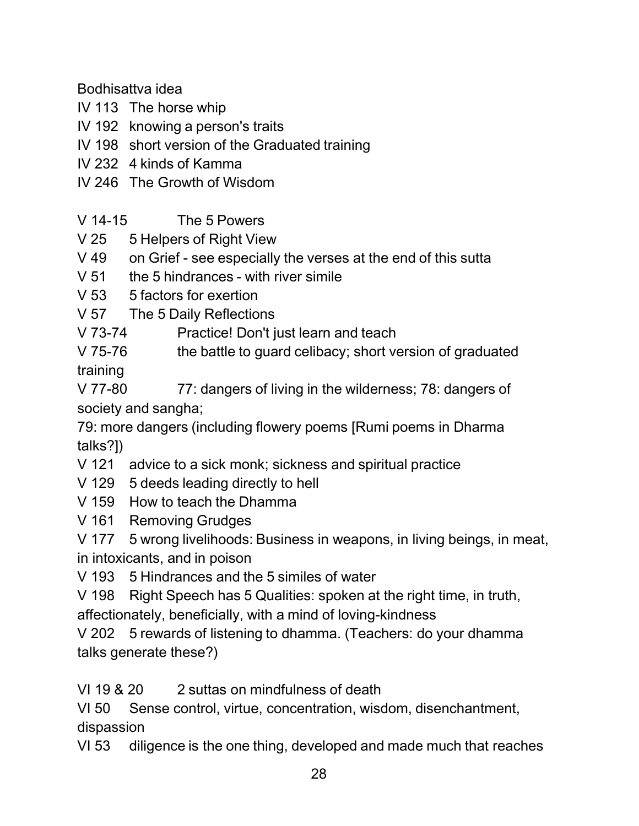Bodhisattva idea

- IV 113 The horse whip
- IV 192 knowing a person's traits
- IV 198 short version of the Graduated training
- IV 232 4 kinds of Kamma
- IV 246 The Growth of Wisdom
- V 14-15 The 5 Powers
- V 25 5 Helpers of Right View
- V 49 on Grief see especially the verses at the end of this sutta
- $V$  51 the 5 hindrances with river simile
- V 53 5 factors for exertion
- V 57 The 5 Daily Reflections
- V 73-74 Practice! Don't just learn and teach
- V 75-76 the battle to guard celibacy; short version of graduated training
- V 77-80 77: dangers of living in the wilderness; 78: dangers of society and sangha;
- 79: more dangers (including flowery poems [Rumi poems in Dharma talks?])
- V 121 advice to a sick monk; sickness and spiritual practice
- V 129 5 deeds leading directly to hell
- V 159 How to teach the Dhamma
- V 161 Removing Grudges

V 177 5 wrong livelihoods: Business in weapons, in living beings, in meat, in intoxicants, and in poison

V 193 5 Hindrances and the 5 similes of water

V 198 Right Speech has 5 Qualities: spoken at the right time, in truth, affectionately, beneficially, with a mind of loving-kindness

V 202 5 rewards of listening to dhamma. (Teachers: do your dhamma talks generate these?)

VI 19 & 20 2 suttas on mindfulness of death

VI 50 Sense control, virtue, concentration, wisdom, disenchantment, dispassion

VI 53 diligence is the one thing, developed and made much that reaches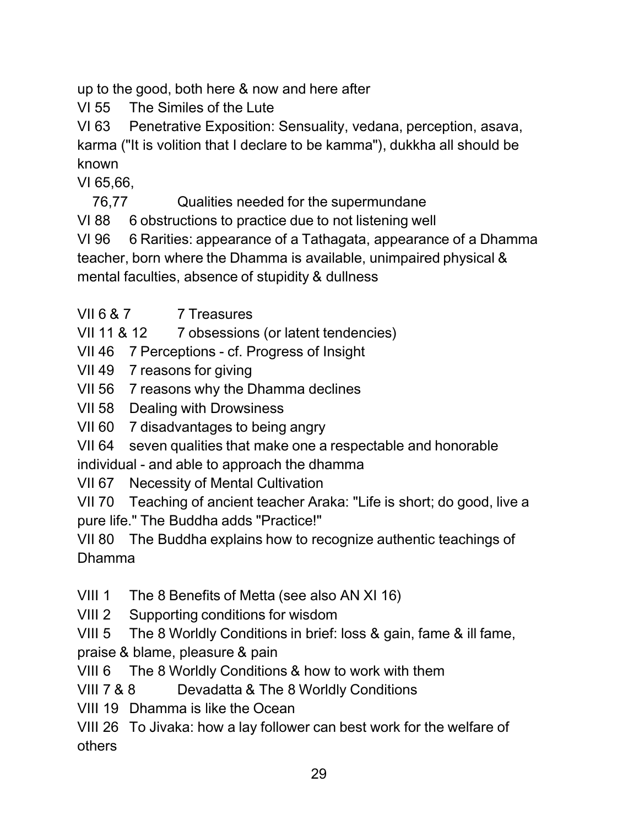up to the good, both here & now and here after

VI 55 The Similes of the Lute

VI 63 Penetrative Exposition: Sensuality, vedana, perception, asava, karma ("It is volition that I declare to be kamma"), dukkha all should be known

VI 65,66,

76,77 Qualities needed for the supermundane

VI 88 6 obstructions to practice due to not listening well

VI 96 6 Rarities: appearance of a Tathagata, appearance of a Dhamma teacher, born where the Dhamma is available, unimpaired physical & mental faculties, absence of stupidity & dullness

VII 6 & 7 7 Treasures

VII 11 & 12 7 obsessions (or latent tendencies)

VII 46 7 Perceptions - cf. Progress of Insight

VII 49 7 reasons for giving

VII 56 7 reasons why the Dhamma declines

VII 58 Dealing with Drowsiness

VII 60 7 disadvantages to being angry

VII 64 seven qualities that make one a respectable and honorable

individual - and able to approach the dhamma

VII 67 Necessity of Mental Cultivation

VII 70 Teaching of ancient teacher Araka: "Life is short; do good, live a pure life." The Buddha adds "Practice!"

VII 80 The Buddha explains how to recognize authentic teachings of Dhamma

VIII 1 The 8 Benefits of Metta (see also AN XI 16)

VIII 2 Supporting conditions for wisdom

VIII 5 The 8 Worldly Conditions in brief: loss & gain, fame & ill fame, praise & blame, pleasure & pain

VIII 6 The 8 Worldly Conditions & how to work with them

VIII 7 & 8 Devadatta & The 8 Worldly Conditions

VIII 19 Dhamma is like the Ocean

VIII 26 To Jivaka: how a lay follower can best work for the welfare of others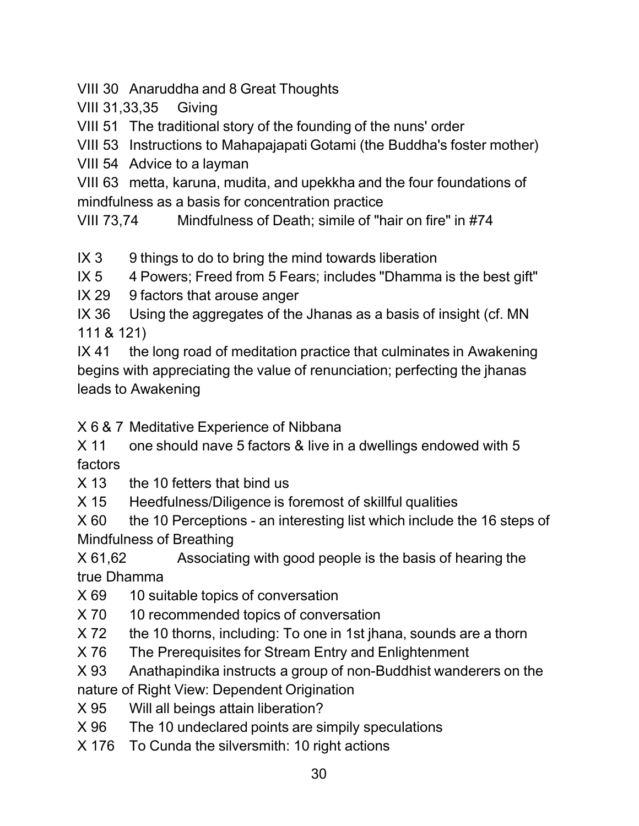VIII 30 Anaruddha and 8 Great Thoughts

VIII 31,33,35 Giving

VIII 51 The traditional story of the founding of the nuns' order

VIII 53 Instructions to Mahapajapati Gotami (the Buddha's foster mother)

VIII 54 Advice to a layman

VIII 63 metta, karuna, mudita, and upekkha and the four foundations of mindfulness as a basis for concentration practice

VIII 73,74 Mindfulness of Death; simile of "hair on fire" in #74

 $IX 3$  9 things to do to bring the mind towards liberation

IX 5 4 Powers; Freed from 5 Fears; includes "Dhamma is the best gift"

IX 29 9 factors that arouse anger

IX 36 Using the aggregates of the Jhanas as a basis of insight (cf. MN 111 & 121)

IX 41 the long road of meditation practice that culminates in Awakening begins with appreciating the value of renunciation; perfecting the jhanas leads to Awakening

X 6 & 7 Meditative Experience of Nibbana

X 11 one should nave 5 factors & live in a dwellings endowed with 5 factors

X 13 the 10 fetters that bind us

X 15 Heedfulness/Diligence is foremost of skillful qualities

 $X$  60 the 10 Perceptions - an interesting list which include the 16 steps of Mindfulness of Breathing

X 61,62 Associating with good people is the basis of hearing the true Dhamma

X 69 10 suitable topics of conversation

X 70 10 recommended topics of conversation

X 72 the 10 thorns, including: To one in 1st jhana, sounds are a thorn

X 76 The Prerequisites for Stream Entry and Enlightenment

X 93 Anathapindika instructs a group of non-Buddhist wanderers on the nature of Right View: Dependent Origination

X 95 Will all beings attain liberation?

X 96 The 10 undeclared points are simpily speculations

X 176 To Cunda the silversmith: 10 right actions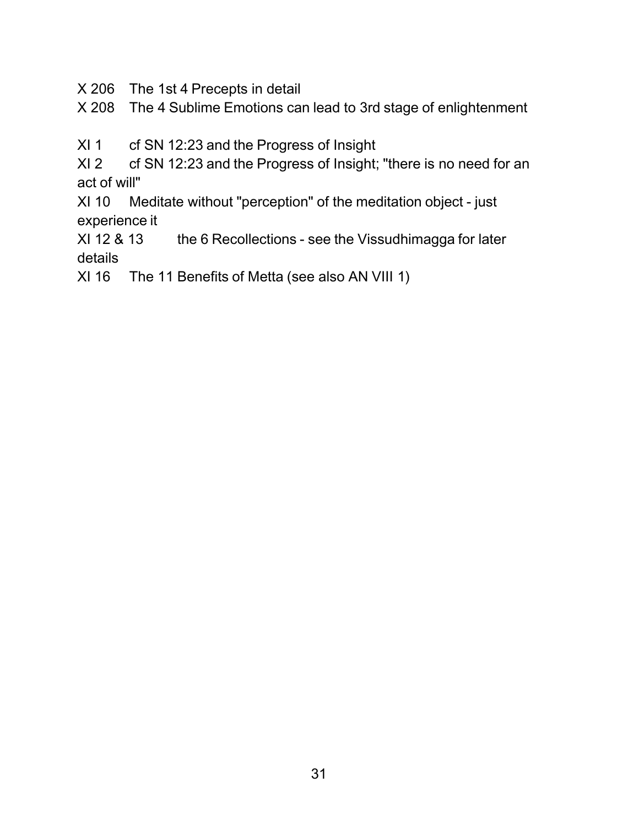X 206 The 1st 4 Precepts in detail

X 208 The 4 Sublime Emotions can lead to 3rd stage of enlightenment

XI 1 cf SN 12:23 and the Progress of Insight

XI 2 cf SN 12:23 and the Progress of Insight; "there is no need for an act of will"

XI 10 Meditate without "perception" of the meditation object - just experience it

XI 12 & 13 the 6 Recollections - see the Vissudhimagga for later details

XI 16 The 11 Benefits of Metta (see also AN VIII 1)